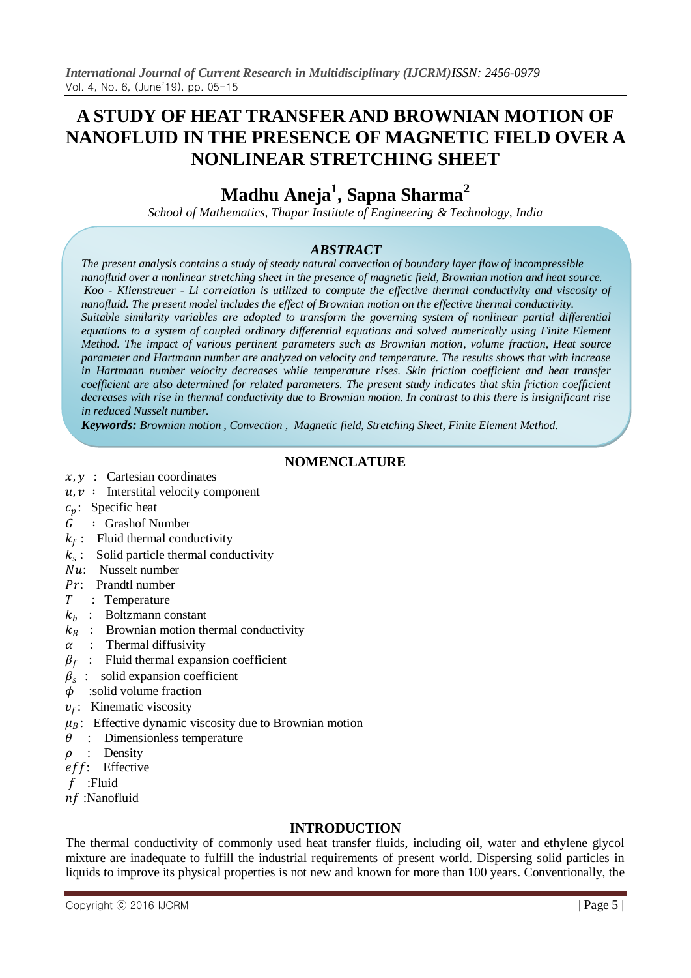## **A STUDY OF HEAT TRANSFER AND BROWNIAN MOTION OF NANOFLUID IN THE PRESENCE OF MAGNETIC FIELD OVER A NONLINEAR STRETCHING SHEET**

# **Madhu Aneja<sup>1</sup> , Sapna Sharma<sup>2</sup>**

*School of Mathematics, Thapar Institute of Engineering & Technology, India*

## *ABSTRACT*

*The present analysis contains a study of steady natural convection of boundary layer flow of incompressible nanofluid over a nonlinear stretching sheet in the presence of magnetic field, Brownian motion and heat source. Koo - Klienstreuer - Li correlation is utilized to compute the effective thermal conductivity and viscosity of nanofluid. The present model includes the effect of Brownian motion on the effective thermal conductivity. Suitable similarity variables are adopted to transform the governing system of nonlinear partial differential equations to a system of coupled ordinary differential equations and solved numerically using Finite Element Method. The impact of various pertinent parameters such as Brownian motion, volume fraction, Heat source parameter and Hartmann number are analyzed on velocity and temperature. The results shows that with increase in Hartmann number velocity decreases while temperature rises. Skin friction coefficient and heat transfer coefficient are also determined for related parameters. The present study indicates that skin friction coefficient decreases with rise in thermal conductivity due to Brownian motion. In contrast to this there is insignificant rise in reduced Nusselt number.*

*Keywords: Brownian motion , Convection , Magnetic field, Stretching Sheet, Finite Element Method.*

## **NOMENCLATURE**

- $x, y$  : Cartesian coordinates
- $u, v$ : Interstital velocity component
- $c_n$ : Specific heat
- ∶ Grashof Number
- $k_f$ : Fluid thermal conductivity
- $k_s$ : Solid particle thermal conductivity
- : Nusselt number
- : Prandtl number
- : Temperature
- $k_b$  : Boltzmann constant
- $k_R$ : Brownian motion thermal conductivity
- $\alpha$  : Thermal diffusivity
- $\beta_f$ : Fluid thermal expansion coefficient
- $\beta_s$ : solid expansion coefficient
- $\phi$  :solid volume fraction
- $v_f$ : Kinematic viscosity
- $\mu_B$ : Effective dynamic viscosity due to Brownian motion
- $\theta$ : Dimensionless temperature
- $\rho$  : Density
- eff: Effective
- :Fluid
- :Nanofluid

## **INTRODUCTION**

The thermal conductivity of commonly used heat transfer fluids, including oil, water and ethylene glycol mixture are inadequate to fulfill the industrial requirements of present world. Dispersing solid particles in liquids to improve its physical properties is not new and known for more than 100 years. Conventionally, the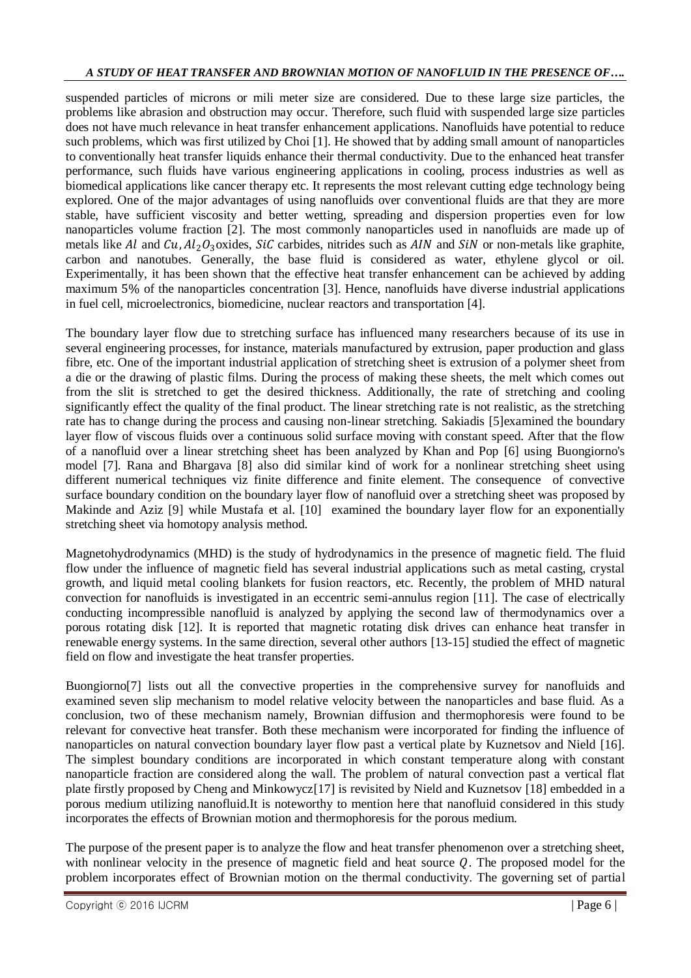#### *A STUDY OF HEAT TRANSFER AND BROWNIAN MOTION OF NANOFLUID IN THE PRESENCE OF….*

suspended particles of microns or mili meter size are considered. Due to these large size particles, the problems like abrasion and obstruction may occur. Therefore, such fluid with suspended large size particles does not have much relevance in heat transfer enhancement applications. Nanofluids have potential to reduce such problems, which was first utilized by Choi [1]. He showed that by adding small amount of nanoparticles to conventionally heat transfer liquids enhance their thermal conductivity. Due to the enhanced heat transfer performance, such fluids have various engineering applications in cooling, process industries as well as biomedical applications like cancer therapy etc. It represents the most relevant cutting edge technology being explored. One of the major advantages of using nanofluids over conventional fluids are that they are more stable, have sufficient viscosity and better wetting, spreading and dispersion properties even for low nanoparticles volume fraction [2]. The most commonly nanoparticles used in nanofluids are made up of metals like Al and  $Cu$ ,  $Al_2O_3$  oxides,  $SiC$  carbides, nitrides such as AIN and  $SiN$  or non-metals like graphite, carbon and nanotubes. Generally, the base fluid is considered as water, ethylene glycol or oil. Experimentally, it has been shown that the effective heat transfer enhancement can be achieved by adding maximum 5% of the nanoparticles concentration [3]. Hence, nanofluids have diverse industrial applications in fuel cell, microelectronics, biomedicine, nuclear reactors and transportation [4].

The boundary layer flow due to stretching surface has influenced many researchers because of its use in several engineering processes, for instance, materials manufactured by extrusion, paper production and glass fibre, etc. One of the important industrial application of stretching sheet is extrusion of a polymer sheet from a die or the drawing of plastic films. During the process of making these sheets, the melt which comes out from the slit is stretched to get the desired thickness. Additionally, the rate of stretching and cooling significantly effect the quality of the final product. The linear stretching rate is not realistic, as the stretching rate has to change during the process and causing non-linear stretching. Sakiadis [5]examined the boundary layer flow of viscous fluids over a continuous solid surface moving with constant speed. After that the flow of a nanofluid over a linear stretching sheet has been analyzed by Khan and Pop [6] using Buongiorno's model [7]. Rana and Bhargava [8] also did similar kind of work for a nonlinear stretching sheet using different numerical techniques viz finite difference and finite element. The consequence of convective surface boundary condition on the boundary layer flow of nanofluid over a stretching sheet was proposed by Makinde and Aziz [9] while Mustafa et al. [10] examined the boundary layer flow for an exponentially stretching sheet via homotopy analysis method.

Magnetohydrodynamics (MHD) is the study of hydrodynamics in the presence of magnetic field. The fluid flow under the influence of magnetic field has several industrial applications such as metal casting, crystal growth, and liquid metal cooling blankets for fusion reactors, etc. Recently, the problem of MHD natural convection for nanofluids is investigated in an eccentric semi-annulus region [11]. The case of electrically conducting incompressible nanofluid is analyzed by applying the second law of thermodynamics over a porous rotating disk [12]. It is reported that magnetic rotating disk drives can enhance heat transfer in renewable energy systems. In the same direction, several other authors [13-15] studied the effect of magnetic field on flow and investigate the heat transfer properties.

Buongiorno[7] lists out all the convective properties in the comprehensive survey for nanofluids and examined seven slip mechanism to model relative velocity between the nanoparticles and base fluid. As a conclusion, two of these mechanism namely, Brownian diffusion and thermophoresis were found to be relevant for convective heat transfer. Both these mechanism were incorporated for finding the influence of nanoparticles on natural convection boundary layer flow past a vertical plate by Kuznetsov and Nield [16]. The simplest boundary conditions are incorporated in which constant temperature along with constant nanoparticle fraction are considered along the wall. The problem of natural convection past a vertical flat plate firstly proposed by Cheng and Minkowycz[17] is revisited by Nield and Kuznetsov [18] embedded in a porous medium utilizing nanofluid.It is noteworthy to mention here that nanofluid considered in this study incorporates the effects of Brownian motion and thermophoresis for the porous medium.

The purpose of the present paper is to analyze the flow and heat transfer phenomenon over a stretching sheet, with nonlinear velocity in the presence of magnetic field and heat source  $Q$ . The proposed model for the problem incorporates effect of Brownian motion on the thermal conductivity. The governing set of partial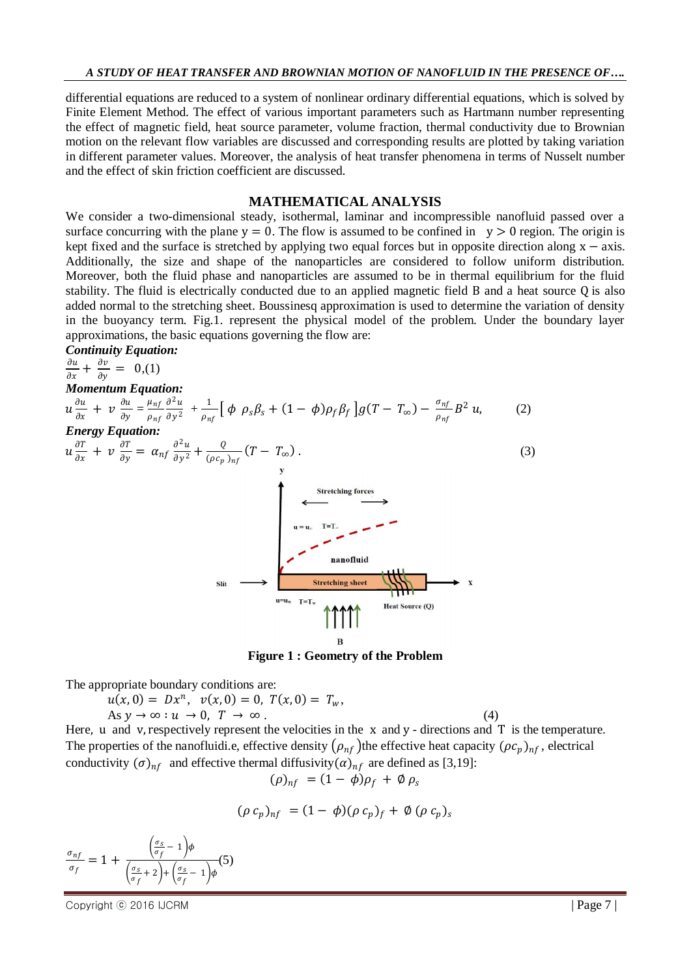differential equations are reduced to a system of nonlinear ordinary differential equations, which is solved by Finite Element Method. The effect of various important parameters such as Hartmann number representing the effect of magnetic field, heat source parameter, volume fraction, thermal conductivity due to Brownian motion on the relevant flow variables are discussed and corresponding results are plotted by taking variation in different parameter values. Moreover, the analysis of heat transfer phenomena in terms of Nusselt number and the effect of skin friction coefficient are discussed.

#### **MATHEMATICAL ANALYSIS**

We consider a two-dimensional steady, isothermal, laminar and incompressible nanofluid passed over a surface concurring with the plane  $y = 0$ . The flow is assumed to be confined in  $y > 0$  region. The origin is kept fixed and the surface is stretched by applying two equal forces but in opposite direction along x − axis. Additionally, the size and shape of the nanoparticles are considered to follow uniform distribution. Moreover, both the fluid phase and nanoparticles are assumed to be in thermal equilibrium for the fluid stability. The fluid is electrically conducted due to an applied magnetic field B and a heat source Q is also added normal to the stretching sheet. Boussinesq approximation is used to determine the variation of density in the buoyancy term. Fig.1. represent the physical model of the problem. Under the boundary layer approximations, the basic equations governing the flow are:

*Continuity Equation:*

$$
\frac{\partial u}{\partial x} + \frac{\partial v}{\partial y} = 0, (1)
$$
\n*Momentum Equation:*\n
$$
u \frac{\partial u}{\partial x} + v \frac{\partial u}{\partial y} = \frac{\mu_{nf}}{\rho_{nf}} \frac{\partial^2 u}{\partial y^2} + \frac{1}{\rho_{nf}} \left[ \phi \rho_s \beta_s + (1 - \phi) \rho_f \beta_f \right] g(T - T_\infty) - \frac{\sigma_{nf}}{\rho_{nf}} B^2 u,
$$
\n
$$
u \frac{\partial T}{\partial x} + v \frac{\partial T}{\partial y} = \alpha_{nf} \frac{\partial^2 u}{\partial y^2} + \frac{Q}{(\rho c_p)_{nf}} (T - T_\infty).
$$
\n(3)\n
$$
u = u, \quad T = T.
$$
\n
$$
u = u, \quad T = T.
$$
\n
$$
u = u, \quad T = T.
$$
\n
$$
u = u, \quad T = T.
$$
\n
$$
u = u, \quad T = T.
$$
\n
$$
u = u, \quad T = T.
$$
\n
$$
u = u, \quad T = T.
$$
\n
$$
u = u, \quad T = T.
$$
\n
$$
u = u, \quad T = T.
$$
\n
$$
u = u, \quad T = T.
$$
\n
$$
u = u, \quad T = T.
$$
\n
$$
u = u, \quad T = T.
$$
\n
$$
u = u, \quad T = T.
$$
\n
$$
u = u, \quad T = T.
$$
\n
$$
u = u, \quad T = T.
$$
\n
$$
u = u, \quad T = T.
$$
\n
$$
u = u, \quad T = T.
$$
\n
$$
u = u, \quad T = T.
$$
\n
$$
u = u, \quad T = T.
$$
\n
$$
u = u, \quad T = T.
$$
\n
$$
u = u, \quad T = T.
$$
\n
$$
u = u, \quad T = T.
$$
\n
$$
u = u, \quad T = T.
$$
\n
$$
u = u, \quad T = T.
$$
\n
$$
u = u, \quad T = T.
$$
\n
$$
u = u, \quad T = T.
$$
\n
$$
u = u, \quad T = T.
$$
\n
$$
u
$$

**Figure 1 : Geometry of the Problem**

The appropriate boundary conditions are:

$$
u(x, 0) = Dx^n, \quad v(x, 0) = 0, \quad T(x, 0) = T_w,
$$
  
As  $y \to \infty : u \to 0, \quad T \to \infty$ . (4)

Here, u and v, respectively represent the velocities in the  $x$  and  $y$  - directions and  $T$  is the temperature. The properties of the nanofluidi.e, effective density  $(\rho_{nf})$  the effective heat capacity  $(\rho c_p)_{nf}$ , electrical conductivity  $(\sigma)_{nf}$  and effective thermal diffusivity  $(\alpha)_{nf}$  are defined as [3,19]:

$$
(\rho)_{nf} = (1 - \phi)\rho_f + \phi \rho_s
$$

$$
(\rho \, c_p)_{nf} = (1 - \phi)(\rho \, c_p)_f + \phi \, (\rho \, c_p)_s
$$

$$
\frac{\sigma_{nf}}{\sigma_f} = 1 + \frac{\left(\frac{\sigma_s}{\sigma_f} - 1\right)\phi}{\left(\frac{\sigma_s}{\sigma_f} + 2\right) + \left(\frac{\sigma_s}{\sigma_f} - 1\right)\phi}(5)
$$

Copyright © 2016 IJCRM | Page 7 |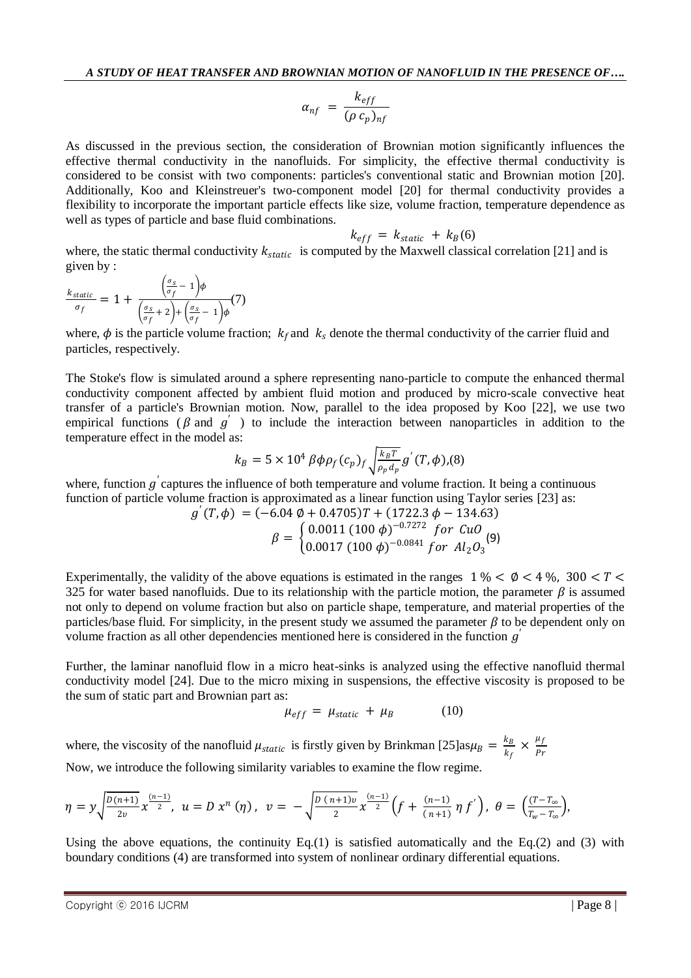$$
\alpha_{nf} = \frac{k_{eff}}{(\rho c_p)_{nf}}
$$

As discussed in the previous section, the consideration of Brownian motion significantly influences the effective thermal conductivity in the nanofluids. For simplicity, the effective thermal conductivity is considered to be consist with two components: particles's conventional static and Brownian motion [20]. Additionally, Koo and Kleinstreuer's two-component model [20] for thermal conductivity provides a flexibility to incorporate the important particle effects like size, volume fraction, temperature dependence as well as types of particle and base fluid combinations.

$$
k_{eff} = k_{static} + k_B(6)
$$

where, the static thermal conductivity  $k_{static}$  is computed by the Maxwell classical correlation [21] and is given by :

$$
\frac{k_{static}}{\sigma_f} = 1 + \frac{\left(\frac{\sigma_s}{\sigma_f} - 1\right)\phi}{\left(\frac{\sigma_s}{\sigma_f} + 2\right) + \left(\frac{\sigma_s}{\sigma_f} - 1\right)\phi}(7)
$$

where,  $\phi$  is the particle volume fraction;  $k_f$  and  $k_s$  denote the thermal conductivity of the carrier fluid and particles, respectively.

The Stoke's flow is simulated around a sphere representing nano-particle to compute the enhanced thermal conductivity component affected by ambient fluid motion and produced by micro-scale convective heat transfer of a particle's Brownian motion. Now, parallel to the idea proposed by Koo [22], we use two empirical functions ( $\beta$  and  $g'$ ) to include the interaction between nanoparticles in addition to the temperature effect in the model as:

$$
k_B = 5 \times 10^4 \beta \phi \rho_f(c_p)_f \sqrt{\frac{k_B T}{\rho_p d_p}} g'(T, \phi)_r(8)
$$

where, function  $g'$  captures the influence of both temperature and volume fraction. It being a continuous function of particle volume fraction is approximated as a linear function using Taylor series [23] as:

$$
g'(T, \phi) = (-6.04 \phi + 0.4705)T + (1722.3 \phi - 134.63)
$$
  

$$
\beta = \begin{cases} 0.0011 (100 \phi)^{-0.7272} & \text{for Cu0} \\ 0.0017 (100 \phi)^{-0.0841} & \text{for Al}_{2}O_{3} \end{cases}
$$
(9)

Experimentally, the validity of the above equations is estimated in the ranges  $1\% < \emptyset < 4\%$ ,  $300 < T <$ 325 for water based nanofluids. Due to its relationship with the particle motion, the parameter  $\beta$  is assumed not only to depend on volume fraction but also on particle shape, temperature, and material properties of the particles/base fluid. For simplicity, in the present study we assumed the parameter  $\beta$  to be dependent only on volume fraction as all other dependencies mentioned here is considered in the function  $g'$ 

Further, the laminar nanofluid flow in a micro heat-sinks is analyzed using the effective nanofluid thermal conductivity model [24]. Due to the micro mixing in suspensions, the effective viscosity is proposed to be the sum of static part and Brownian part as:

$$
\mu_{eff} = \mu_{static} + \mu_B \tag{10}
$$

where, the viscosity of the nanofluid  $\mu_{static}$  is firstly given by Brinkman [25]as $\mu_B = \frac{k_B}{k_A}$  $\frac{k_B}{k_f} \times \frac{\mu_f}{Pr}$  $Pr$ Now, we introduce the following similarity variables to examine the flow regime.

$$
\eta = y \sqrt{\frac{D(n+1)}{2\nu}} x^{\frac{(n-1)}{2}}, \ \ u = D \ x^n \ (\eta) \ , \ \ v = - \sqrt{\frac{D(n+1)\nu}{2}} x^{\frac{(n-1)}{2}} \left( f + \frac{(n-1)}{(n+1)} \ \eta \ f' \right), \ \theta = \left( \frac{(T - T_{\infty})}{T_{\infty} - T_{\infty}} \right),
$$

Using the above equations, the continuity  $Eq.(1)$  is satisfied automatically and the  $Eq.(2)$  and (3) with boundary conditions (4) are transformed into system of nonlinear ordinary differential equations.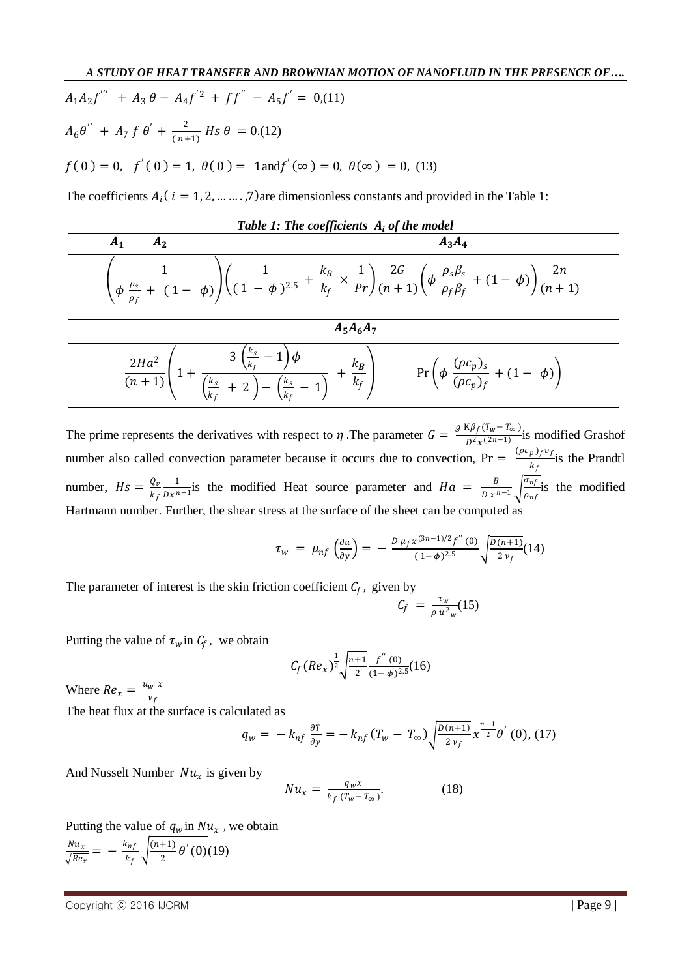$$
A_1 A_2 f'' + A_3 \theta - A_4 f'^2 + f f'' - A_5 f' = 0, (11)
$$
  
\n
$$
A_6 \theta'' + A_7 f \theta' + \frac{2}{(n+1)} H s \theta = 0, (12)
$$
  
\n
$$
f(0) = 0, \quad f'(0) = 1, \quad \theta(0) = 1 \text{ and } f'(\infty) = 0, \quad \theta(\infty) = 0, \quad (13)
$$

The coefficients  $A_i$  (  $i = 1, 2, ..., 7$ ) are dimensionless constants and provided in the Table 1:

Table 1: The coefficients 
$$
A_i
$$
 of the model  
\n
$$
\left(\frac{1}{\phi \frac{\rho_s}{\rho_f} + (1 - \phi)}\right) \left(\frac{1}{(1 - \phi)^{2.5}} + \frac{k_B}{k_f} \times \frac{1}{Pr}\right) \frac{2G}{(n + 1)} \left(\phi \frac{\rho_s \beta_s}{\rho_f \beta_f} + (1 - \phi)\right) \frac{2n}{(n + 1)}
$$
\n
$$
A_5 A_6 A_7
$$
\n
$$
\frac{2Ha^2}{(n + 1)} \left(1 + \frac{3\left(\frac{k_s}{k_f} - 1\right)\phi}{\left(\frac{k_s}{k_f} + 2\right) - \left(\frac{k_s}{k_f} - 1\right)} + \frac{k_B}{k_f}\right) \Pr\left(\phi \frac{(\rho c_p)_s}{(\rho c_p)_f} + (1 - \phi)\right)
$$

The prime represents the derivatives with respect to  $\eta$ . The parameter  $G = \frac{g K \beta_f (T_w - T_\infty)}{R^2 \mu^2 (2n-1)}$  $\frac{2\pi}{D^2x^{(2n-1)}}$  is modified Grashof number also called convection parameter because it occurs due to convection,  $Pr = \frac{(\rho c_p) f v_f}{h}$  $\frac{p\,\mathcal{I}\,\mathcal{I}\,\mathcal{I}\,\mathcal{I}}{k_f}$  is the Prandtl number,  $Hs = \frac{Q_v}{l_v}$  $k_f$ 1  $\frac{1}{Dx^{n-1}}$  is the modified Heat source parameter and  $Ha = \frac{B}{Dx^{n}}$  $\frac{B}{D x^{n-1}} \sqrt{\frac{\sigma_{nf}}{\rho_{nf}}}$  $\frac{\partial n_f}{\partial n_f}$  is the modified Hartmann number. Further, the shear stress at the surface of the sheet can be computed as

$$
\tau_{w} = \mu_{nf} \left( \frac{\partial u}{\partial y} \right) = - \frac{D \mu_f x^{(3n-1)/2} f''(0)}{(1-\phi)^{2.5}} \sqrt{\frac{D(n+1)}{2 v_f}} (14)
$$

The parameter of interest is the skin friction coefficient  $C_f$ , given by

$$
C_f = \frac{\tau_w}{\rho u^2_w} (15)
$$

Putting the value of  $\tau_w$  in  $C_f$ , we obtain

$$
C_f (Re_x)^{\frac{1}{2}} \sqrt{\frac{n+1}{2}} \frac{f^{''}(0)}{(1-\phi)^{2.5}}(16)
$$

Where  $Re_x = \frac{u_w x}{v_s}$  $v_f$ 

The heat flux at the surface is calculated as

$$
q_{w} = -k_{nf} \frac{\partial T}{\partial y} = -k_{nf} (T_{w} - T_{\infty}) \sqrt{\frac{D(n+1)}{2 v_{f}}} x^{\frac{n-1}{2}} \theta^{'} (0), (17)
$$

And Nusselt Number  $Nu_x$  is given by

$$
Nu_x = \frac{q_w x}{k_f (T_w - T_\infty)}.
$$
 (18)

Putting the value of  $q_w$  in  $Nu_x$ , we obtain

 $Nu_x$  $\frac{Nu_x}{\sqrt{Re_x}} = -\frac{k_{nf}}{k_f}$  $\frac{k_{nf}}{k_f}$   $\sqrt{\frac{(n+1)}{2}}$  $\frac{^{+1}}{^{2}}\theta'$  (0)(19)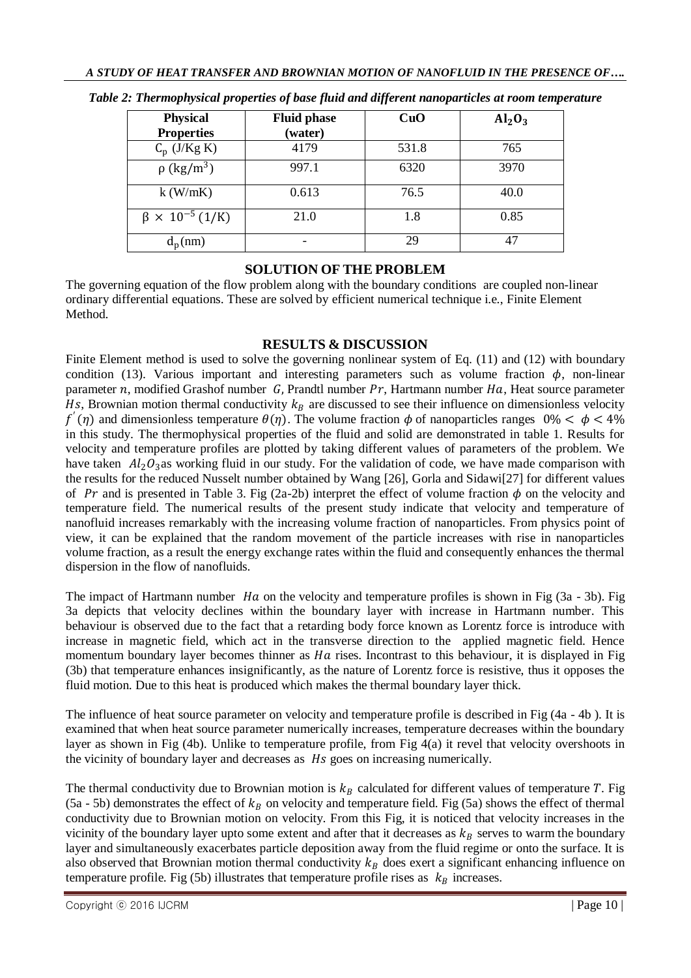| <b>Physical</b><br><b>Properties</b> | <b>Fluid phase</b><br>(water) | CuO   | $Al_2O_3$ |
|--------------------------------------|-------------------------------|-------|-----------|
| $C_p$ (J/Kg K)                       | 4179                          | 531.8 | 765       |
| $\frac{1}{\rho$ (kg/m <sup>3</sup> ) | 997.1                         | 6320  | 3970      |
| $k$ (W/mK)                           | 0.613                         | 76.5  | 40.0      |
| $\beta \times 10^{-5}$ (1/K)         | 21.0                          | 1.8   | 0.85      |
| $d_p(nm)$                            |                               | 29    |           |

*Table 2: Thermophysical properties of base fluid and different nanoparticles at room temperature*

## **SOLUTION OF THE PROBLEM**

The governing equation of the flow problem along with the boundary conditions are coupled non-linear ordinary differential equations. These are solved by efficient numerical technique i.e., Finite Element **Method** 

### **RESULTS & DISCUSSION**

Finite Element method is used to solve the governing nonlinear system of Eq. (11) and (12) with boundary condition (13). Various important and interesting parameters such as volume fraction  $\phi$ , non-linear parameter  $n$ , modified Grashof number  $G$ , Prandtl number  $Pr$ , Hartmann number  $Ha$ , Heat source parameter Hs, Brownian motion thermal conductivity  $k_B$  are discussed to see their influence on dimensionless velocity  $f'(\eta)$  and dimensionless temperature  $\theta(\eta)$ . The volume fraction  $\phi$  of nanoparticles ranges  $0\% < \phi < 4\%$ in this study. The thermophysical properties of the fluid and solid are demonstrated in table 1. Results for velocity and temperature profiles are plotted by taking different values of parameters of the problem. We have taken  $Al_2O_3$  as working fluid in our study. For the validation of code, we have made comparison with the results for the reduced Nusselt number obtained by Wang [26], Gorla and Sidawi[27] for different values of Pr and is presented in Table 3. Fig (2a-2b) interpret the effect of volume fraction  $\phi$  on the velocity and temperature field. The numerical results of the present study indicate that velocity and temperature of nanofluid increases remarkably with the increasing volume fraction of nanoparticles. From physics point of view, it can be explained that the random movement of the particle increases with rise in nanoparticles volume fraction, as a result the energy exchange rates within the fluid and consequently enhances the thermal dispersion in the flow of nanofluids.

The impact of Hartmann number  $Ha$  on the velocity and temperature profiles is shown in Fig (3a - 3b). Fig 3a depicts that velocity declines within the boundary layer with increase in Hartmann number. This behaviour is observed due to the fact that a retarding body force known as Lorentz force is introduce with increase in magnetic field, which act in the transverse direction to the applied magnetic field. Hence momentum boundary layer becomes thinner as  $Ha$  rises. Incontrast to this behaviour, it is displayed in Fig. (3b) that temperature enhances insignificantly, as the nature of Lorentz force is resistive, thus it opposes the fluid motion. Due to this heat is produced which makes the thermal boundary layer thick.

The influence of heat source parameter on velocity and temperature profile is described in Fig (4a - 4b ). It is examined that when heat source parameter numerically increases, temperature decreases within the boundary layer as shown in Fig (4b). Unlike to temperature profile, from Fig 4(a) it revel that velocity overshoots in the vicinity of boundary layer and decreases as  $Hs$  goes on increasing numerically.

The thermal conductivity due to Brownian motion is  $k_B$  calculated for different values of temperature T. Fig. (5a - 5b) demonstrates the effect of  $k_B$  on velocity and temperature field. Fig (5a) shows the effect of thermal conductivity due to Brownian motion on velocity. From this Fig, it is noticed that velocity increases in the vicinity of the boundary layer upto some extent and after that it decreases as  $k_B$  serves to warm the boundary layer and simultaneously exacerbates particle deposition away from the fluid regime or onto the surface. It is also observed that Brownian motion thermal conductivity  $k_B$  does exert a significant enhancing influence on temperature profile. Fig (5b) illustrates that temperature profile rises as  $k_B$  increases.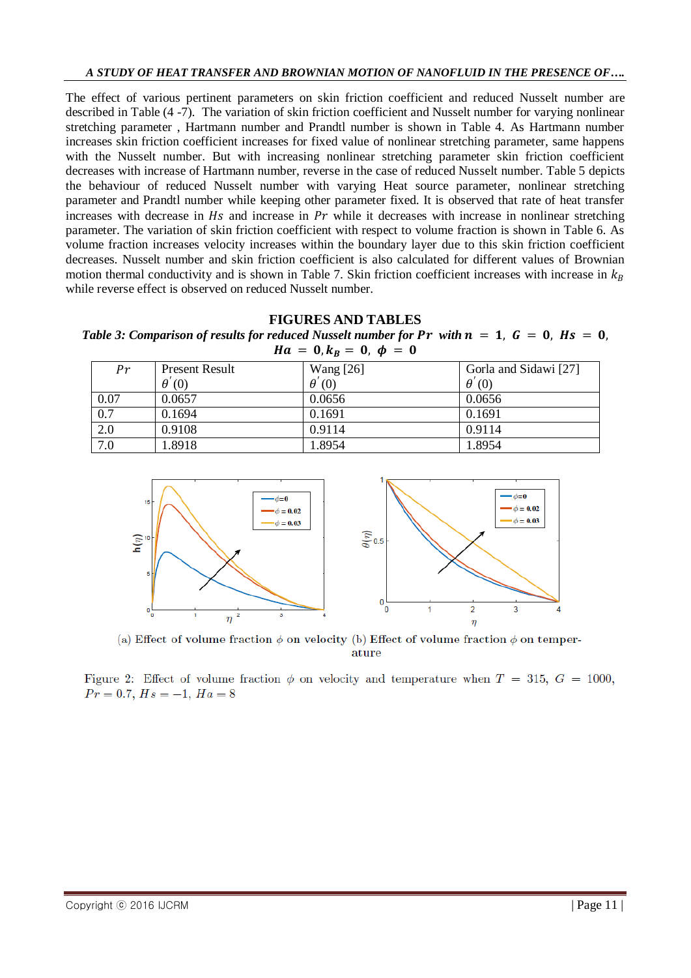The effect of various pertinent parameters on skin friction coefficient and reduced Nusselt number are described in Table (4 -7). The variation of skin friction coefficient and Nusselt number for varying nonlinear stretching parameter , Hartmann number and Prandtl number is shown in Table 4. As Hartmann number increases skin friction coefficient increases for fixed value of nonlinear stretching parameter, same happens with the Nusselt number. But with increasing nonlinear stretching parameter skin friction coefficient decreases with increase of Hartmann number, reverse in the case of reduced Nusselt number. Table 5 depicts the behaviour of reduced Nusselt number with varying Heat source parameter, nonlinear stretching parameter and Prandtl number while keeping other parameter fixed. It is observed that rate of heat transfer increases with decrease in  $Hs$  and increase in  $Pr$  while it decreases with increase in nonlinear stretching parameter. The variation of skin friction coefficient with respect to volume fraction is shown in Table 6. As volume fraction increases velocity increases within the boundary layer due to this skin friction coefficient decreases. Nusselt number and skin friction coefficient is also calculated for different values of Brownian motion thermal conductivity and is shown in Table 7. Skin friction coefficient increases with increase in  $k_B$ while reverse effect is observed on reduced Nusselt number.

## **FIGURES AND TABLES**

*Table 3: Comparison of results for reduced Nusselt number for Pr with*  $n = 1$ ,  $G = 0$ ,  $Hs = 0$ ,  $Ha = 0, k_B = 0, \phi = 0$ 

| Pr               | <b>Present Result</b> | <b>Wang</b> [26] | Gorla and Sidawi [27] |
|------------------|-----------------------|------------------|-----------------------|
|                  | $\theta'(0)$          | $\theta'(0)$     | $\theta'(0)$          |
| 0.07             | 0.0657                | 0.0656           | 0.0656                |
| $\overline{0.7}$ | 0.1694                | 0.1691           | 0.1691                |
| 2.0              | 0.9108                | 0.9114           | 0.9114                |
| 7.0              | 1.8918                | 1.8954           | 1.8954                |



(a) Effect of volume fraction  $\phi$  on velocity (b) Effect of volume fraction  $\phi$  on temperature

Figure 2: Effect of volume fraction  $\phi$  on velocity and temperature when  $T = 315$ ,  $G = 1000$ ,  $Pr = 0.7, Hs = -1, Ha = 8$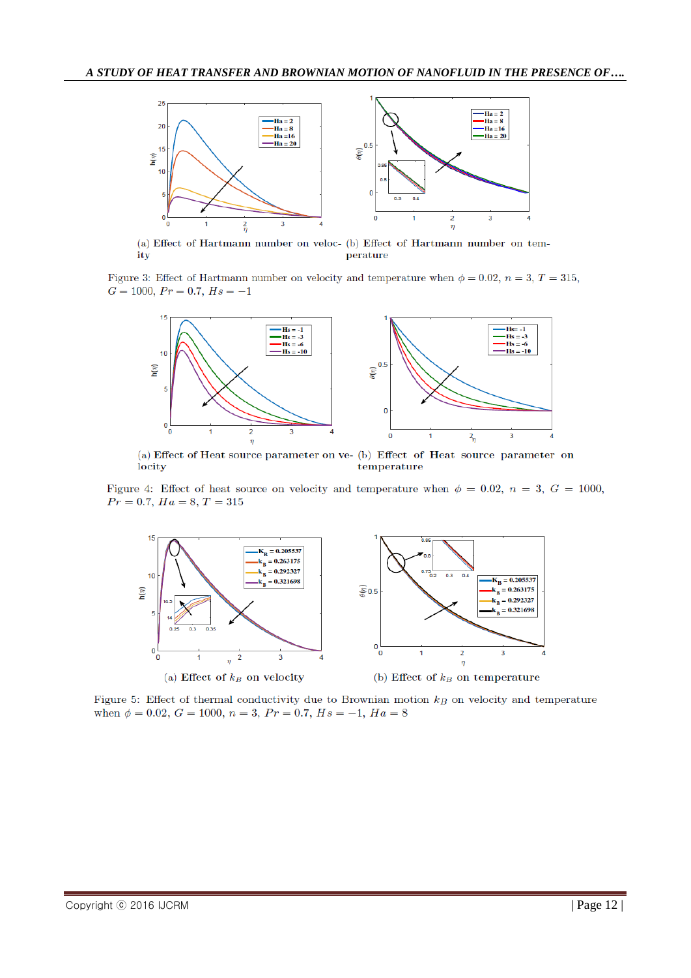

(a) Effect of Hartmann number on veloc- (b) Effect of Hartmann number on temperature ity

Figure 3: Effect of Hartmann number on velocity and temperature when  $\phi = 0.02$ ,  $n = 3$ ,  $T = 315$ ,  $G = 1000, Pr = 0.7, Hs = -1$ 



(a) Effect of Heat source parameter on ve- (b) Effect of Heat source parameter on locity temperature

Figure 4: Effect of heat source on velocity and temperature when  $\phi = 0.02$ ,  $n = 3$ ,  $G = 1000$ ,  $Pr = 0.7, Ha = 8, T = 315$ 



Figure 5: Effect of thermal conductivity due to Brownian motion  $k_B$  on velocity and temperature when  $\phi = 0.02$ ,  $G = 1000$ ,  $n = 3$ ,  $Pr = 0.7$ ,  $Hs = -1$ ,  $Ha = 8$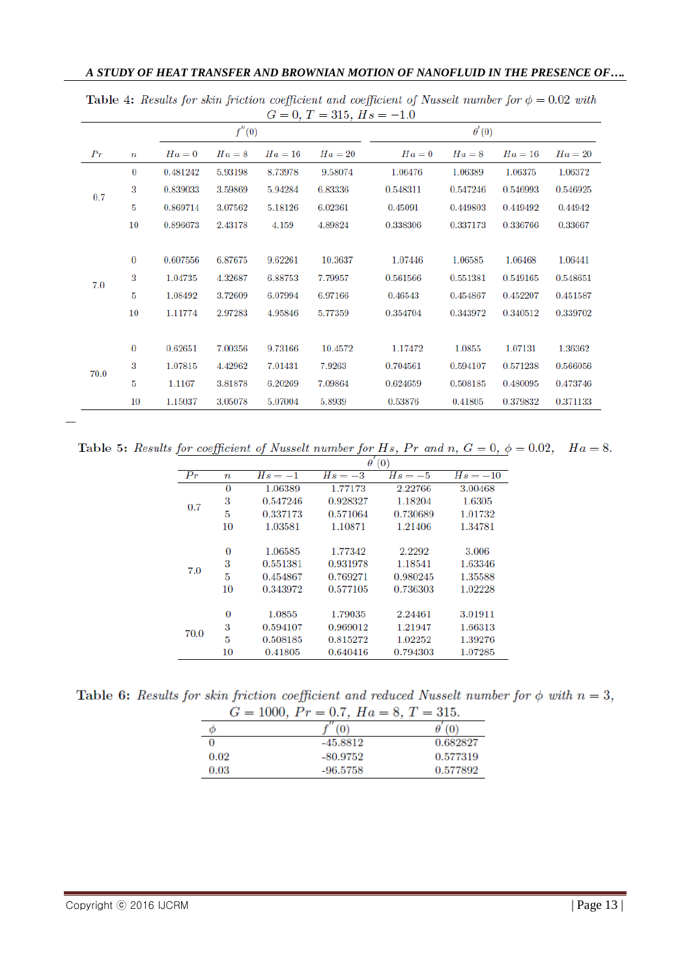| A STUDY OF HEAT TRANSFER AND BROWNIAN MOTION OF NANOFLUID IN THE PRESENCE OF |  |  |
|------------------------------------------------------------------------------|--|--|
|------------------------------------------------------------------------------|--|--|

|      |                  |          | f''(0)  |         |         |          | $\theta'(0)$ |          |          |
|------|------------------|----------|---------|---------|---------|----------|--------------|----------|----------|
| Pr   | $\boldsymbol{n}$ | $Ha=0$   | $Ha=8$  | $Ha=16$ | $Ha=20$ | $Ha=0$   | $Ha=8$       | $Ha=16$  | $Ha=20$  |
|      | 0                | 0.481242 | 5.93198 | 8.73978 | 9.58074 | 1.06476  | 1.06389      | 1.06375  | 1.06372  |
| 0.7  | 3                | 0.839033 | 3.59869 | 5.94284 | 6.83336 | 0.548311 | 0.547246     | 0.546993 | 0.546925 |
|      | 5                | 0.869714 | 3.07562 | 5.18126 | 6.02361 | 0.45091  | 0.449803     | 0.449492 | 0.44942  |
|      | $10\,$           | 0.896673 | 2.43178 | 4.159   | 4.89824 | 0.338306 | 0.337173     | 0.336766 | 0.33667  |
|      |                  |          |         |         |         |          |              |          |          |
|      | $\bf{0}$         | 0.607556 | 6.87675 | 9.62261 | 10.3637 | 1.07446  | 1.06585      | 1.06468  | 1.06441  |
| 7.0  | 3                | 1.04735  | 4.32687 | 6.88753 | 7.79957 | 0.561566 | 0.551381     | 0.549165 | 0.548651 |
|      | 5                | 1.08492  | 3.72609 | 6.07994 | 6.97166 | 0.46543  | 0.454867     | 0.452207 | 0.451587 |
|      | 10               | 1.11774  | 2.97283 | 4.95846 | 5.77359 | 0.354704 | 0.343972     | 0.340512 | 0.339702 |
|      |                  |          |         |         |         |          |              |          |          |
|      | $\bf{0}$         | 0.62651  | 7.00356 | 9.73166 | 10.4572 | 1.17472  | 1.0855       | 1.07131  | 1.36362  |
|      | 3                | 1.07815  | 4.42962 | 7.01431 | 7.9263  | 0.704561 | 0.594107     | 0.571238 | 0.566056 |
| 70.0 | 5                | 1.1167   | 3.81878 | 6.20269 | 7.09864 | 0.624659 | 0.508185     | 0.480095 | 0.473746 |
|      | 10               | 1.15037  | 3.05078 | 5.07004 | 5.8939  | 0.53876  | 0.41805      | 0.379832 | 0.371133 |

Table 4: Results for skin friction coefficient and coefficient of Nusselt number for  $\phi = 0.02$  with  $G = 0, T = 315, Hs = -1.0$ 

Table 5: Results for coefficient of Nusselt number for Hs, Pr and n,  $G = 0$ ,  $\phi = 0.02$ ,  $Ha = 8$ .

|                   |                  | ,<br>$\theta$<br>(0) |          |           |            |
|-------------------|------------------|----------------------|----------|-----------|------------|
| $\bm{p}_{\bm{r}}$ | $\boldsymbol{n}$ | $Hs = -1$            | $Hs=-3$  | $Hs = -5$ | $Hs = -10$ |
|                   | $\bf{0}$         | 1.06389              | 1.77173  | 2.22766   | 3.00468    |
| 0.7               | 3                | 0.547246             | 0.928327 | 1.18204   | 1.6305     |
|                   | 5                | 0.337173             | 0.571064 | 0.730689  | 1.01732    |
|                   | 10               | 1.03581              | 1.10871  | 1.21406   | 1.34781    |
|                   |                  |                      |          |           |            |
|                   | 0                | 1.06585              | 1.77342  | 2.2292    | 3.006      |
| 7.0               | 3                | 0.551381             | 0.931978 | 1.18541   | 1.63346    |
|                   | 5                | 0.454867             | 0.769271 | 0.980245  | 1.35588    |
|                   | 10               | 0.343972             | 0.577105 | 0.736303  | 1.02228    |
|                   |                  |                      |          |           |            |
| 70.0              | $\bf{0}$         | 1.0855               | 1.79035  | 2.24461   | 3.01911    |
|                   | 3                | 0.594107             | 0.969012 | 1.21947   | 1.66313    |
|                   | 5                | 0.508185             | 0.815272 | 1.02252   | 1.39276    |
|                   | $10\,$           | 0.41805              | 0.640416 | 0.794303  | 1.07285    |

Table 6: Results for skin friction coefficient and reduced Nusselt number for  $\phi$  with  $n=3$ ,  $\sim$   $\sim$  m  $94F$  $\overline{p}$ 

|      | $G = 1000$ , $Pr = 0.7$ , $Ha = 8$ , $T = 315$ . |          |
|------|--------------------------------------------------|----------|
| Φ    |                                                  |          |
|      | $-45.8812$                                       | 0.682827 |
| 0.02 | -80.9752                                         | 0.577319 |
| 0.03 | $-96.5758$                                       | 0.577892 |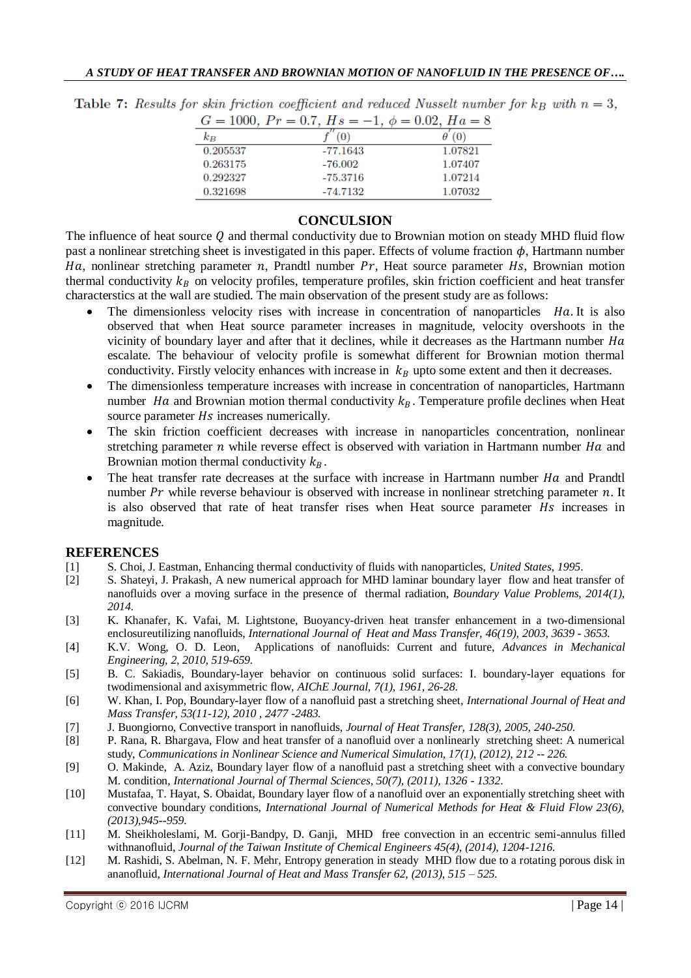|          | $G = 1000$ , $Pr = 0.7$ , $Hs = -1$ , $\phi = 0.02$ , $Ha = 8$ |         |
|----------|----------------------------------------------------------------|---------|
| $k_{B}$  |                                                                |         |
| 0.205537 | $-77.1643$                                                     | 1.07821 |
| 0.263175 | -76.002                                                        | 1.07407 |
| 0.292327 | $-75.3716$                                                     | 1.07214 |
| 0.321698 | -74.7132                                                       | 1.07032 |

Table 7: Results for skin friction coefficient and reduced Nusselt number for  $k_B$  with  $n = 3$ .

#### **CONCULSION**

The influence of heat source  $Q$  and thermal conductivity due to Brownian motion on steady MHD fluid flow past a nonlinear stretching sheet is investigated in this paper. Effects of volume fraction  $\phi$ , Hartmann number Ha, nonlinear stretching parameter  $n$ , Prandtl number  $Pr$ , Heat source parameter Hs, Brownian motion thermal conductivity  $k_B$  on velocity profiles, temperature profiles, skin friction coefficient and heat transfer characterstics at the wall are studied. The main observation of the present study are as follows:

- The dimensionless velocity rises with increase in concentration of nanoparticles . Ha. It is also observed that when Heat source parameter increases in magnitude, velocity overshoots in the vicinity of boundary layer and after that it declines, while it decreases as the Hartmann number  $Ha$ escalate. The behaviour of velocity profile is somewhat different for Brownian motion thermal conductivity. Firstly velocity enhances with increase in  $k_B$  upto some extent and then it decreases.
- The dimensionless temperature increases with increase in concentration of nanoparticles, Hartmann number Ha and Brownian motion thermal conductivity  $k<sub>B</sub>$ . Temperature profile declines when Heat source parameter *Hs* increases numerically.
- The skin friction coefficient decreases with increase in nanoparticles concentration, nonlinear stretching parameter  $n$  while reverse effect is observed with variation in Hartmann number  $Ha$  and Brownian motion thermal conductivity  $k_B$ .
- The heat transfer rate decreases at the surface with increase in Hartmann number  $Ha$  and Prandtl number  $Pr$  while reverse behaviour is observed with increase in nonlinear stretching parameter n. It is also observed that rate of heat transfer rises when Heat source parameter  $Hs$  increases in magnitude.

#### **REFERENCES**

- [1] S. Choi, J. Eastman, Enhancing thermal conductivity of fluids with nanoparticles, *United States*, *1995*.
- [2] S. Shateyi, J. Prakash, A new numerical approach for MHD laminar boundary layer flow and heat transfer of nanofluids over a moving surface in the presence of thermal radiation, *Boundary Value Problems, 2014(1), 2014.*
- [3] K. Khanafer, K. Vafai, M. Lightstone, Buoyancy-driven heat transfer enhancement in a two-dimensional enclosureutilizing nanofluids, *International Journal of Heat and Mass Transfer, 46(19), 2003, 3639 - 3653.*
- [4] K.V. Wong, O. D. Leon, Applications of nanofluids: Current and future, *Advances in Mechanical Engineering, 2, 2010, 519-659.*
- [5] B. C. Sakiadis, Boundary-layer behavior on continuous solid surfaces: I. boundary-layer equations for twodimensional and axisymmetric flow, *AIChE Journal, 7(1), 1961, 26-28*.
- [6] W. Khan, I. Pop, Boundary-layer flow of a nanofluid past a stretching sheet, *International Journal of Heat and Mass Transfer, 53(11-12), 2010 , 2477 -2483.*
- [7] J. Buongiorno, Convective transport in nanofluids, *Journal of Heat Transfer, 128(3), 2005, 240-250.*
- [8] P. Rana, R. Bhargava, Flow and heat transfer of a nanofluid over a nonlinearly stretching sheet: A numerical study, *Communications in Nonlinear Science and Numerical Simulation, 17(1), (2012), 212 -- 226.*
- [9] O. Makinde, A. Aziz, Boundary layer flow of a nanofluid past a stretching sheet with a convective boundary M. condition, *International Journal of Thermal Sciences, 50(7), (2011), 1326 - 1332*.
- [10] Mustafaa, T. Hayat, S. Obaidat, Boundary layer flow of a nanofluid over an exponentially stretching sheet with convective boundary conditions, *International Journal of Numerical Methods for Heat & Fluid Flow 23(6), (2013),945--959.*
- [11] M. Sheikholeslami, M. Gorji-Bandpy, D. Ganji, MHD free convection in an eccentric semi-annulus filled withnanofluid, *Journal of the Taiwan Institute of Chemical Engineers 45(4), (2014), 1204-1216.*
- [12] M. Rashidi, S. Abelman, N. F. Mehr, Entropy generation in steady MHD flow due to a rotating porous disk in ananofluid, *International Journal of Heat and Mass Transfer 62, (2013), 515 – 525.*